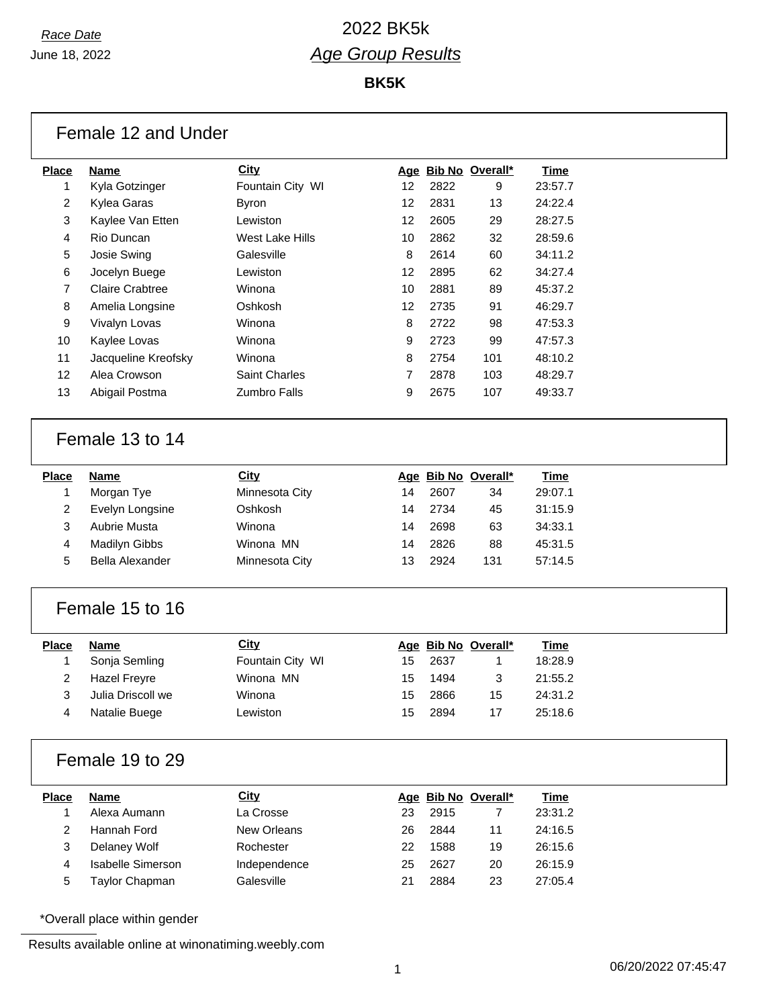**BK5K**

|                         | Female 12 and Under      |                  |    |      |                     |             |  |
|-------------------------|--------------------------|------------------|----|------|---------------------|-------------|--|
| <b>Place</b>            | <b>Name</b>              | City             |    |      | Age Bib No Overall* | <b>Time</b> |  |
| 1                       | Kyla Gotzinger           | Fountain City WI | 12 | 2822 | 9                   | 23:57.7     |  |
| 2                       | Kylea Garas              | <b>Byron</b>     | 12 | 2831 | 13                  | 24:22.4     |  |
| 3                       | Kaylee Van Etten         | Lewiston         | 12 | 2605 | 29                  | 28:27.5     |  |
| 4                       | Rio Duncan               | West Lake Hills  | 10 | 2862 | 32                  | 28:59.6     |  |
| 5                       | Josie Swing              | Galesville       | 8  | 2614 | 60                  | 34:11.2     |  |
| 6                       | Jocelyn Buege            | Lewiston         | 12 | 2895 | 62                  | 34:27.4     |  |
| 7                       | <b>Claire Crabtree</b>   | Winona           | 10 | 2881 | 89                  | 45:37.2     |  |
| 8                       | Amelia Longsine          | Oshkosh          | 12 | 2735 | 91                  | 46:29.7     |  |
| 9                       | Vivalyn Lovas            | Winona           | 8  | 2722 | 98                  | 47:53.3     |  |
| 10                      | Kaylee Lovas             | Winona           | 9  | 2723 | 99                  | 47:57.3     |  |
| 11                      | Jacqueline Kreofsky      | Winona           | 8  | 2754 | 101                 | 48:10.2     |  |
| 12                      | Alea Crowson             | Saint Charles    | 7  | 2878 | 103                 | 48:29.7     |  |
| 13                      | Abigail Postma           | Zumbro Falls     | 9  | 2675 | 107                 | 49:33.7     |  |
|                         |                          |                  |    |      |                     |             |  |
|                         | Female 13 to 14          |                  |    |      |                     |             |  |
| <b>Place</b>            | <b>Name</b>              | City             |    |      | Age Bib No Overall* | <b>Time</b> |  |
| 1                       | Morgan Tye               | Minnesota City   | 14 | 2607 | 34                  | 29:07.1     |  |
| 2                       | Evelyn Longsine          | Oshkosh          | 14 | 2734 | 45                  | 31:15.9     |  |
| 3                       | Aubrie Musta             | Winona           | 14 | 2698 | 63                  | 34:33.1     |  |
| 4                       | Madilyn Gibbs            | Winona MN        | 14 | 2826 | 88                  | 45:31.5     |  |
| 5                       | <b>Bella Alexander</b>   | Minnesota City   | 13 | 2924 | 131                 | 57:14.5     |  |
|                         |                          |                  |    |      |                     |             |  |
|                         | Female 15 to 16          |                  |    |      |                     |             |  |
| <b>Place</b>            | <b>Name</b>              | <b>City</b>      |    |      | Age Bib No Overall* | <b>Time</b> |  |
| 1                       | Sonja Semling            | Fountain City WI | 15 | 2637 | 1                   | 18:28.9     |  |
| 2                       | Hazel Freyre             | Winona MN        | 15 | 1494 | 3                   | 21:55.2     |  |
| 3                       | Julia Driscoll we        | Winona           | 15 | 2866 | 15                  | 24:31.2     |  |
| 4                       | Natalie Buege            | Lewiston         | 15 | 2894 | 17                  | 25:18.6     |  |
|                         |                          |                  |    |      |                     |             |  |
|                         | Female 19 to 29          |                  |    |      |                     |             |  |
| <b>Place</b>            | <b>Name</b>              | <b>City</b>      |    |      | Age Bib No Overall* | <b>Time</b> |  |
| 1                       | Alexa Aumann             | La Crosse        | 23 | 2915 | 7                   | 23:31.2     |  |
| $\overline{\mathbf{c}}$ | Hannah Ford              | New Orleans      | 26 | 2844 | 11                  | 24:16.5     |  |
| 3                       | Delaney Wolf             | Rochester        | 22 | 1588 | 19                  | 26:15.6     |  |
| 4                       | <b>Isabelle Simerson</b> | Independence     | 25 | 2627 | 20                  | 26:15.9     |  |
| 5                       | Taylor Chapman           | Galesville       | 21 | 2884 | 23                  | 27:05.4     |  |
|                         |                          |                  |    |      |                     |             |  |

\*Overall place within gender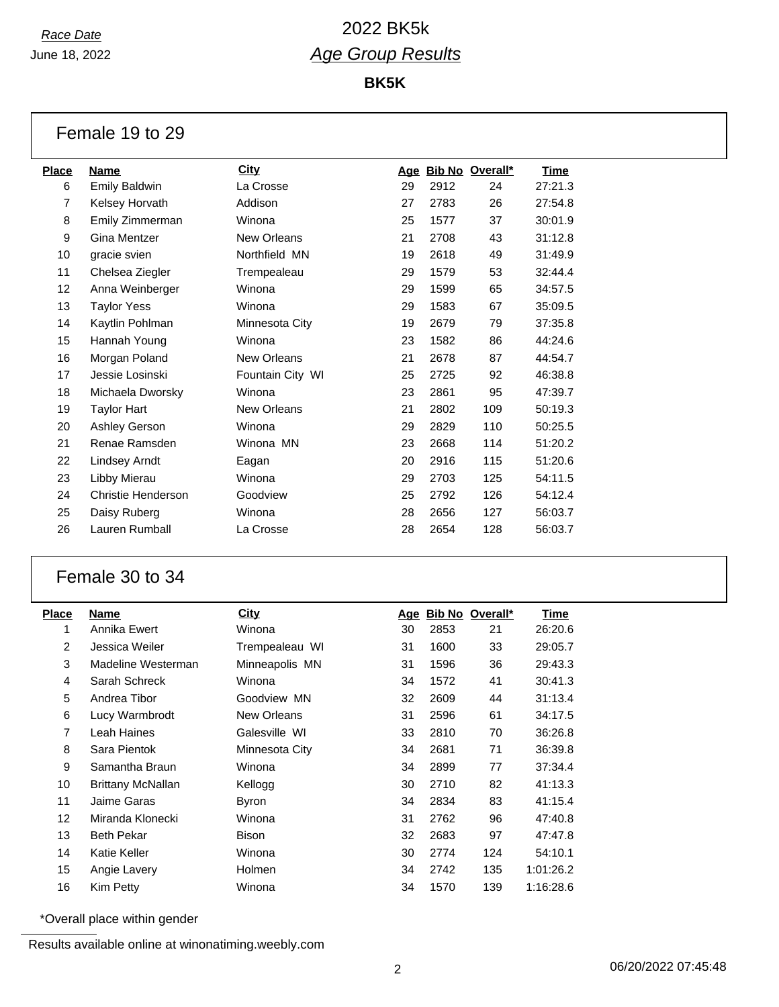## *Race Date* 2022 BK5k *Age Group Results*

**BK5K**

Female 19 to 29

| <b>Place</b> | Name                 | <b>City</b>      | Age |      | Bib No Overall* | <b>Time</b> |
|--------------|----------------------|------------------|-----|------|-----------------|-------------|
| 6            | <b>Emily Baldwin</b> | La Crosse        | 29  | 2912 | 24              | 27:21.3     |
| 7            | Kelsey Horvath       | Addison          | 27  | 2783 | 26              | 27:54.8     |
| 8            | Emily Zimmerman      | Winona           | 25  | 1577 | 37              | 30:01.9     |
| 9            | Gina Mentzer         | New Orleans      | 21  | 2708 | 43              | 31:12.8     |
| 10           | gracie svien         | Northfield MN    | 19  | 2618 | 49              | 31:49.9     |
| 11           | Chelsea Ziegler      | Trempealeau      | 29  | 1579 | 53              | 32:44.4     |
| 12           | Anna Weinberger      | Winona           | 29  | 1599 | 65              | 34:57.5     |
| 13           | <b>Taylor Yess</b>   | Winona           | 29  | 1583 | 67              | 35:09.5     |
| 14           | Kaytlin Pohlman      | Minnesota City   | 19  | 2679 | 79              | 37:35.8     |
| 15           | Hannah Young         | Winona           | 23  | 1582 | 86              | 44:24.6     |
| 16           | Morgan Poland        | New Orleans      | 21  | 2678 | 87              | 44:54.7     |
| 17           | Jessie Losinski      | Fountain City WI | 25  | 2725 | 92              | 46:38.8     |
| 18           | Michaela Dworsky     | Winona           | 23  | 2861 | 95              | 47:39.7     |
| 19           | <b>Taylor Hart</b>   | New Orleans      | 21  | 2802 | 109             | 50:19.3     |
| 20           | Ashley Gerson        | Winona           | 29  | 2829 | 110             | 50:25.5     |
| 21           | Renae Ramsden        | Winona MN        | 23  | 2668 | 114             | 51:20.2     |
| 22           | Lindsey Arndt        | Eagan            | 20  | 2916 | 115             | 51:20.6     |
| 23           | Libby Mierau         | Winona           | 29  | 2703 | 125             | 54:11.5     |
| 24           | Christie Henderson   | Goodview         | 25  | 2792 | 126             | 54:12.4     |
| 25           | Daisy Ruberg         | Winona           | 28  | 2656 | 127             | 56:03.7     |
| 26           | Lauren Rumball       | La Crosse        | 28  | 2654 | 128             | 56:03.7     |
|              |                      |                  |     |      |                 |             |

#### Female 30 to 34

| <b>Place</b>      | Name               | City           | Age |      | Bib No Overall* | Time      |
|-------------------|--------------------|----------------|-----|------|-----------------|-----------|
| 1                 | Annika Ewert       | Winona         | 30  | 2853 | 21              | 26:20.6   |
| $\overline{2}$    | Jessica Weiler     | Trempealeau WI | 31  | 1600 | 33              | 29:05.7   |
| 3                 | Madeline Westerman | Minneapolis MN | 31  | 1596 | 36              | 29:43.3   |
| 4                 | Sarah Schreck      | Winona         | 34  | 1572 | 41              | 30:41.3   |
| 5                 | Andrea Tibor       | Goodview MN    | 32  | 2609 | 44              | 31:13.4   |
| 6                 | Lucy Warmbrodt     | New Orleans    | 31  | 2596 | 61              | 34:17.5   |
| $\overline{7}$    | Leah Haines        | Galesville WI  | 33  | 2810 | 70              | 36:26.8   |
| 8                 | Sara Pientok       | Minnesota City | 34  | 2681 | 71              | 36:39.8   |
| 9                 | Samantha Braun     | Winona         | 34  | 2899 | 77              | 37:34.4   |
| 10                | Brittany McNallan  | Kellogg        | 30  | 2710 | 82              | 41:13.3   |
| 11                | Jaime Garas        | Byron          | 34  | 2834 | 83              | 41:15.4   |
| $12 \overline{ }$ | Miranda Klonecki   | Winona         | 31  | 2762 | 96              | 47:40.8   |
| 13                | <b>Beth Pekar</b>  | <b>Bison</b>   | 32  | 2683 | 97              | 47:47.8   |
| 14                | Katie Keller       | Winona         | 30  | 2774 | 124             | 54:10.1   |
| 15                | Angie Lavery       | Holmen         | 34  | 2742 | 135             | 1:01:26.2 |
| 16                | Kim Petty          | Winona         | 34  | 1570 | 139             | 1:16:28.6 |

\*Overall place within gender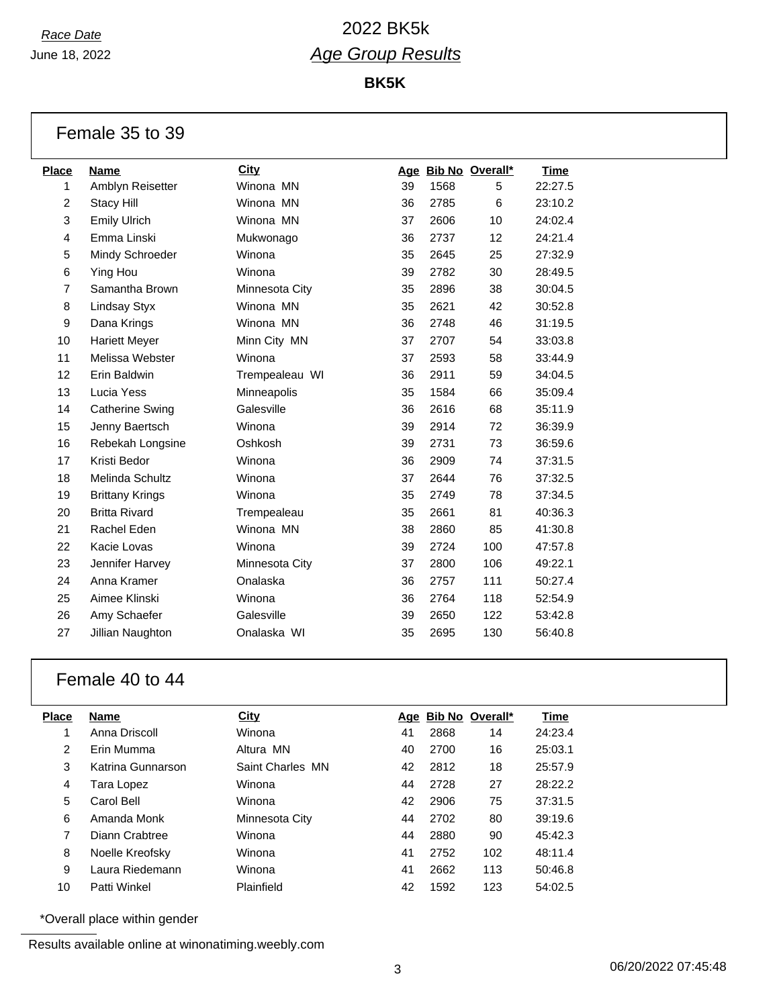## *Race Date* 2022 BK5k *Age Group Results*

**BK5K**

Female 35 to 39

| Name                   | <b>City</b>    |    |      |     | Time                |
|------------------------|----------------|----|------|-----|---------------------|
| Amblyn Reisetter       | Winona MN      | 39 | 1568 | 5   | 22:27.5             |
| <b>Stacy Hill</b>      | Winona MN      | 36 | 2785 | 6   | 23:10.2             |
| <b>Emily Ulrich</b>    | Winona MN      | 37 | 2606 | 10  | 24:02.4             |
| Emma Linski            | Mukwonago      | 36 | 2737 | 12  | 24:21.4             |
| Mindy Schroeder        | Winona         | 35 | 2645 | 25  | 27:32.9             |
| Ying Hou               | Winona         | 39 | 2782 | 30  | 28:49.5             |
| Samantha Brown         | Minnesota City | 35 | 2896 | 38  | 30:04.5             |
| Lindsay Styx           | Winona MN      | 35 | 2621 | 42  | 30:52.8             |
| Dana Krings            | Winona MN      | 36 | 2748 | 46  | 31:19.5             |
| <b>Hariett Meyer</b>   | Minn City MN   | 37 | 2707 | 54  | 33:03.8             |
| Melissa Webster        | Winona         | 37 | 2593 | 58  | 33:44.9             |
| Erin Baldwin           | Trempealeau WI | 36 | 2911 | 59  | 34:04.5             |
| Lucia Yess             | Minneapolis    | 35 | 1584 | 66  | 35:09.4             |
| <b>Catherine Swing</b> | Galesville     | 36 | 2616 | 68  | 35:11.9             |
| Jenny Baertsch         | Winona         | 39 | 2914 | 72  | 36:39.9             |
| Rebekah Longsine       | Oshkosh        | 39 | 2731 | 73  | 36:59.6             |
| Kristi Bedor           | Winona         | 36 | 2909 | 74  | 37:31.5             |
| Melinda Schultz        | Winona         | 37 | 2644 | 76  | 37:32.5             |
| <b>Brittany Krings</b> | Winona         | 35 | 2749 | 78  | 37:34.5             |
| <b>Britta Rivard</b>   | Trempealeau    | 35 | 2661 | 81  | 40:36.3             |
| Rachel Eden            | Winona MN      | 38 | 2860 | 85  | 41:30.8             |
| Kacie Lovas            | Winona         | 39 | 2724 | 100 | 47:57.8             |
| Jennifer Harvey        | Minnesota City | 37 | 2800 | 106 | 49:22.1             |
| Anna Kramer            | Onalaska       | 36 | 2757 | 111 | 50:27.4             |
| Aimee Klinski          | Winona         | 36 | 2764 | 118 | 52:54.9             |
| Amy Schaefer           | Galesville     | 39 | 2650 | 122 | 53:42.8             |
| Jillian Naughton       | Onalaska WI    | 35 | 2695 | 130 | 56:40.8             |
|                        |                |    |      |     | Age Bib No Overall* |

#### Female 40 to 44

| Place | <b>Name</b>       | City             | Age |      | Bib No Overall* | Time    |
|-------|-------------------|------------------|-----|------|-----------------|---------|
|       | Anna Driscoll     | Winona           | 41  | 2868 | 14              | 24:23.4 |
| 2     | <b>Erin Mumma</b> | Altura MN        | 40  | 2700 | 16              | 25:03.1 |
| 3     | Katrina Gunnarson | Saint Charles MN | 42  | 2812 | 18              | 25:57.9 |
| 4     | Tara Lopez        | Winona           | 44  | 2728 | 27              | 28:22.2 |
| 5     | Carol Bell        | Winona           | 42  | 2906 | 75              | 37:31.5 |
| 6     | Amanda Monk       | Minnesota City   | 44  | 2702 | 80              | 39:19.6 |
| 7     | Diann Crabtree    | Winona           | 44  | 2880 | 90              | 45:42.3 |
| 8     | Noelle Kreofsky   | Winona           | 41  | 2752 | 102             | 48:11.4 |
| 9     | Laura Riedemann   | Winona           | 41  | 2662 | 113             | 50:46.8 |
| 10    | Patti Winkel      | Plainfield       | 42  | 1592 | 123             | 54:02.5 |

\*Overall place within gender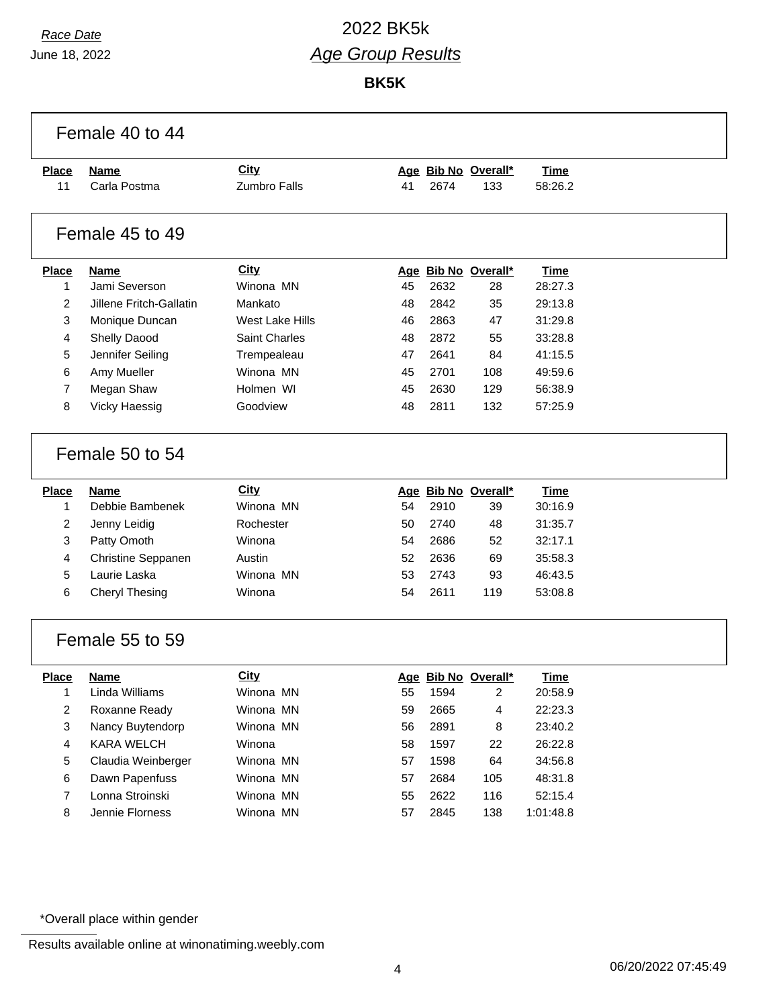$\sqrt{ }$ 

# *Race Date* 2022 BK5k *Age Group Results*

**BK5K**

| <b>Place</b>            | <b>Name</b>                           | <b>City</b>         |          |              | Age Bib No Overall* | <b>Time</b>        |  |
|-------------------------|---------------------------------------|---------------------|----------|--------------|---------------------|--------------------|--|
| 11                      | Carla Postma                          | Zumbro Falls        | 41       | 2674         | 133                 | 58:26.2            |  |
|                         | Female 45 to 49                       |                     |          |              |                     |                    |  |
| <b>Place</b>            | <b>Name</b>                           | City                |          |              | Age Bib No Overall* | <b>Time</b>        |  |
| 1                       | Jami Severson                         | Winona MN           | 45       | 2632         | 28                  | 28:27.3            |  |
| 2                       | Jillene Fritch-Gallatin               | Mankato             | 48       | 2842         | 35                  | 29:13.8            |  |
| 3                       | Monique Duncan                        | West Lake Hills     | 46       | 2863         | 47                  | 31:29.8            |  |
| 4                       | Shelly Daood                          | Saint Charles       | 48       | 2872         | 55                  | 33:28.8            |  |
| 5                       | Jennifer Seiling                      | Trempealeau         | 47       | 2641         | 84                  | 41:15.5            |  |
| 6                       | Amy Mueller                           | Winona MN           | 45       | 2701         | 108                 | 49:59.6            |  |
| $\overline{7}$          | Megan Shaw                            | Holmen WI           | 45       | 2630         | 129                 | 56:38.9            |  |
| 8                       | Vicky Haessig                         | Goodview            | 48       | 2811         | 132                 | 57:25.9            |  |
| <b>Place</b>            | Female 50 to 54                       | <b>City</b>         |          |              | Age Bib No Overall* | <b>Time</b>        |  |
| 1                       | <b>Name</b><br>Debbie Bambenek        | Winona MN           | 54       | 2910         | 39                  | 30:16.9            |  |
| $\overline{2}$          | Jenny Leidig                          | Rochester           | 50       | 2740         | 48                  | 31:35.7            |  |
| 3                       | Patty Omoth                           | Winona              |          |              | 52                  | 32:17.1            |  |
|                         |                                       |                     |          |              |                     |                    |  |
|                         |                                       |                     | 54       | 2686         |                     |                    |  |
| $\overline{4}$          | Christine Seppanen                    | Austin              | 52       | 2636         | 69                  | 35:58.3            |  |
| 5<br>6                  | Laurie Laska<br><b>Cheryl Thesing</b> | Winona MN<br>Winona | 53<br>54 | 2743<br>2611 | 93<br>119           | 46:43.5<br>53:08.8 |  |
|                         | Female 55 to 59                       |                     |          |              |                     |                    |  |
| <b>Place</b>            | <b>Name</b>                           | <b>City</b>         |          |              | Age Bib No Overall* | <b>Time</b>        |  |
| 1                       | Linda Williams                        | Winona MN           | 55       | 1594         | 2                   | 20:58.9            |  |
| $\overline{c}$          | Roxanne Ready                         | Winona MN           | 59       | 2665         | 4                   | 22:23.3            |  |
| 3                       | Nancy Buytendorp                      | Winona MN           | 56       | 2891         | 8                   | 23:40.2            |  |
| $\overline{\mathbf{4}}$ | KARA WELCH                            | Winona              | 58       | 1597         | 22                  | 26:22.8            |  |
| 5                       | Claudia Weinberger                    | Winona MN           | 57       | 1598         | 64                  | 34:56.8            |  |
| 6                       | Dawn Papenfuss                        | Winona MN           | 57       | 2684         | 105                 | 48:31.8            |  |
| $\boldsymbol{7}$        | Lonna Stroinski                       | Winona MN           | 55       | 2622         | 116                 | 52:15.4            |  |

\*Overall place within gender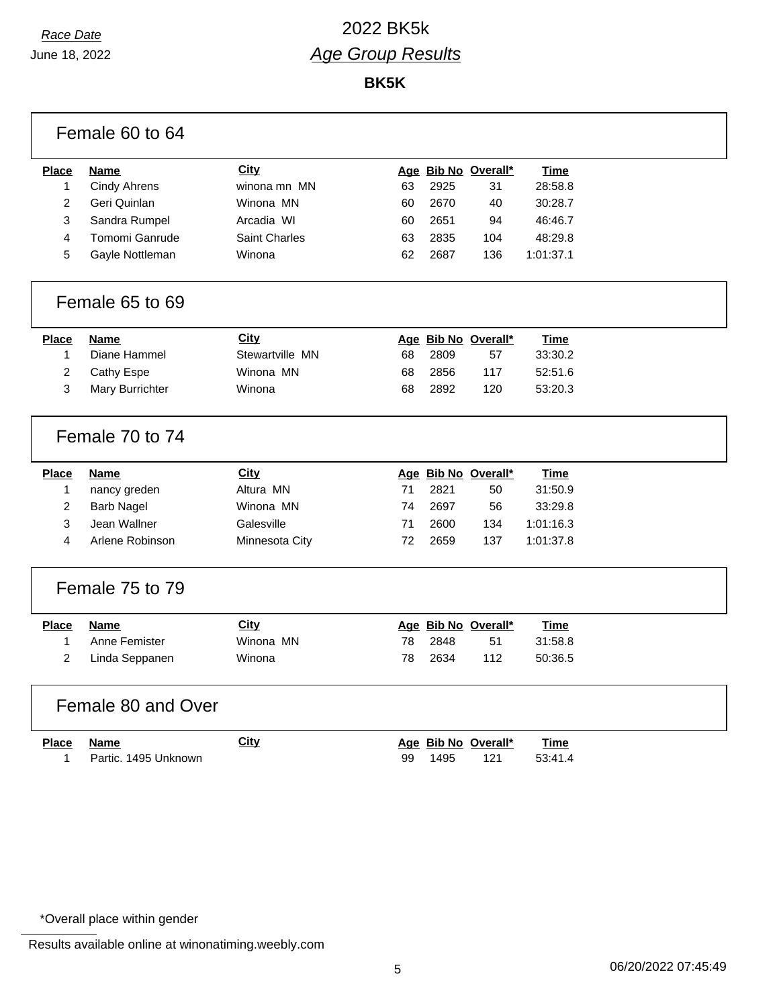# *Race Date* 2022 BK5k *Age Group Results*

**BK5K**

|                | Female 60 to 64      |                      |    |      |                     |             |  |
|----------------|----------------------|----------------------|----|------|---------------------|-------------|--|
| <b>Place</b>   | <b>Name</b>          | City                 |    |      | Age Bib No Overall* | <b>Time</b> |  |
| 1              | <b>Cindy Ahrens</b>  | winona mn MN         | 63 | 2925 | 31                  | 28:58.8     |  |
| 2              | Geri Quinlan         | Winona MN            | 60 | 2670 | 40                  | 30:28.7     |  |
| 3              | Sandra Rumpel        | Arcadia WI           | 60 | 2651 | 94                  | 46:46.7     |  |
| 4              | Tomomi Ganrude       | <b>Saint Charles</b> | 63 | 2835 | 104                 | 48:29.8     |  |
| 5              | Gayle Nottleman      | Winona               | 62 | 2687 | 136                 | 1:01:37.1   |  |
|                | Female 65 to 69      |                      |    |      |                     |             |  |
| <b>Place</b>   | <b>Name</b>          | <b>City</b>          |    |      | Age Bib No Overall* | <b>Time</b> |  |
| 1              | Diane Hammel         | Stewartville MN      | 68 | 2809 | 57                  | 33:30.2     |  |
| $\overline{c}$ | Cathy Espe           | Winona MN            | 68 | 2856 | 117                 | 52:51.6     |  |
| 3              | Mary Burrichter      | Winona               | 68 | 2892 | 120                 | 53:20.3     |  |
|                | Female 70 to 74      |                      |    |      |                     |             |  |
| <b>Place</b>   | <b>Name</b>          | <b>City</b>          |    |      | Age Bib No Overall* | <b>Time</b> |  |
| 1              | nancy greden         | Altura MN            | 71 | 2821 | 50                  | 31:50.9     |  |
| $\overline{c}$ | <b>Barb Nagel</b>    | Winona MN            | 74 | 2697 | 56                  | 33:29.8     |  |
| 3              | Jean Wallner         | Galesville           | 71 | 2600 | 134                 | 1:01:16.3   |  |
| 4              | Arlene Robinson      | Minnesota City       | 72 | 2659 | 137                 | 1:01:37.8   |  |
|                | Female 75 to 79      |                      |    |      |                     |             |  |
| <b>Place</b>   | <b>Name</b>          | City                 |    |      | Age Bib No Overall* | <b>Time</b> |  |
| $\mathbf{1}$   | Anne Femister        | Winona MN            | 78 | 2848 | 51                  | 31:58.8     |  |
| $\overline{2}$ | Linda Seppanen       | Winona               | 78 | 2634 | 112                 | 50:36.5     |  |
|                | Female 80 and Over   |                      |    |      |                     |             |  |
| <b>Place</b>   | <b>Name</b>          | City                 |    |      | Age Bib No Overall* | <b>Time</b> |  |
| 1              | Partic. 1495 Unknown |                      | 99 | 1495 | 121                 | 53:41.4     |  |
|                |                      |                      |    |      |                     |             |  |

\*Overall place within gender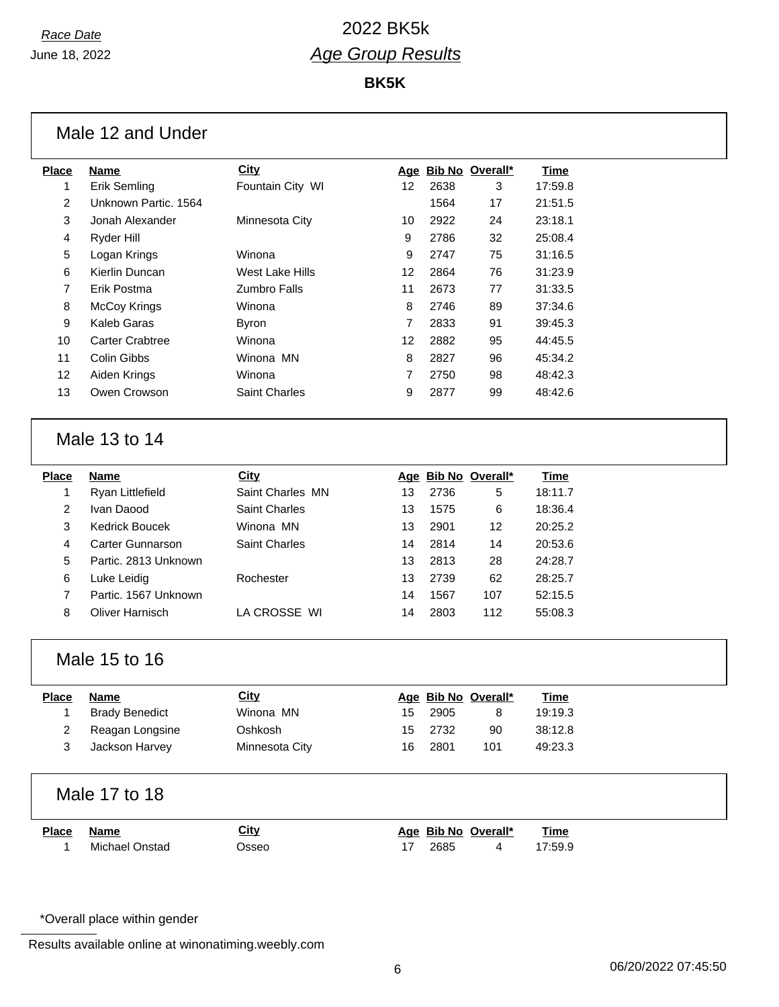**BK5K**

| <b>Place</b>   | <b>Name</b>            | City                |    |      | Age Bib No Overall* | <b>Time</b> |
|----------------|------------------------|---------------------|----|------|---------------------|-------------|
| 1              | Erik Semling           | Fountain City WI    | 12 | 2638 | 3                   | 17:59.8     |
| 2              | Unknown Partic. 1564   |                     |    | 1564 | 17                  | 21:51.5     |
| 3              | Jonah Alexander        | Minnesota City      | 10 | 2922 | 24                  | 23:18.1     |
| 4              | Ryder Hill             |                     | 9  | 2786 | 32                  | 25:08.4     |
| 5              | Logan Krings           | Winona              | 9  | 2747 | 75                  | 31:16.5     |
| 6              | Kierlin Duncan         | West Lake Hills     | 12 | 2864 | 76                  | 31:23.9     |
| $\overline{7}$ | Erik Postma            | <b>Zumbro Falls</b> | 11 | 2673 | 77                  | 31:33.5     |
| 8              | McCoy Krings           | Winona              | 8  | 2746 | 89                  | 37:34.6     |
| 9              | Kaleb Garas            | <b>Byron</b>        | 7  | 2833 | 91                  | 39:45.3     |
| 10             | <b>Carter Crabtree</b> | Winona              | 12 | 2882 | 95                  | 44:45.5     |
| 11             | Colin Gibbs            | Winona MN           | 8  | 2827 | 96                  | 45:34.2     |
| 12             | Aiden Krings           | Winona              | 7  | 2750 | 98                  | 48:42.3     |
| 13             | Owen Crowson           | Saint Charles       | 9  | 2877 | 99                  | 48:42.6     |
|                | Male 13 to 14          |                     |    |      |                     |             |
| <b>Place</b>   | <b>Name</b>            | City                |    |      | Age Bib No Overall* | <b>Time</b> |
| 1              | Ryan Littlefield       | Saint Charles MN    | 13 | 2736 | 5                   | 18:11.7     |
| 2              | Ivan Daood             | Saint Charles       | 13 | 1575 | 6                   | 18:36.4     |
| 3              | <b>Kedrick Boucek</b>  | Winona MN           | 13 | 2901 | 12                  | 20:25.2     |
| 4              | Carter Gunnarson       | Saint Charles       | 14 | 2814 | 14                  | 20:53.6     |
| 5              | Partic. 2813 Unknown   |                     | 13 | 2813 | 28                  | 24:28.7     |
| 6              | Luke Leidig            | Rochester           | 13 | 2739 | 62                  | 28:25.7     |
| 7              | Partic. 1567 Unknown   |                     | 14 | 1567 | 107                 | 52:15.5     |
| 8              | Oliver Harnisch        | LA CROSSE WI        | 14 | 2803 | 112                 | 55:08.3     |
|                | Male 15 to 16          |                     |    |      |                     |             |
| <b>Place</b>   | <b>Name</b>            | <b>City</b>         |    |      | Age Bib No Overall* | <b>Time</b> |
| 1              | <b>Brady Benedict</b>  | Winona MN           | 15 | 2905 | 8                   | 19:19.3     |
| 2              | Reagan Longsine        | Oshkosh             | 15 | 2732 | 90                  | 38:12.8     |
| 3              | Jackson Harvey         | Minnesota City      | 16 | 2801 | 101                 | 49:23.3     |
|                | Male 17 to 18          |                     |    |      |                     |             |
|                | <b>Name</b>            | City                |    |      | Age Bib No Overall* | <b>Time</b> |
| <b>Place</b>   | Michael Onstad         |                     | 17 | 2685 | 4                   | 17:59.9     |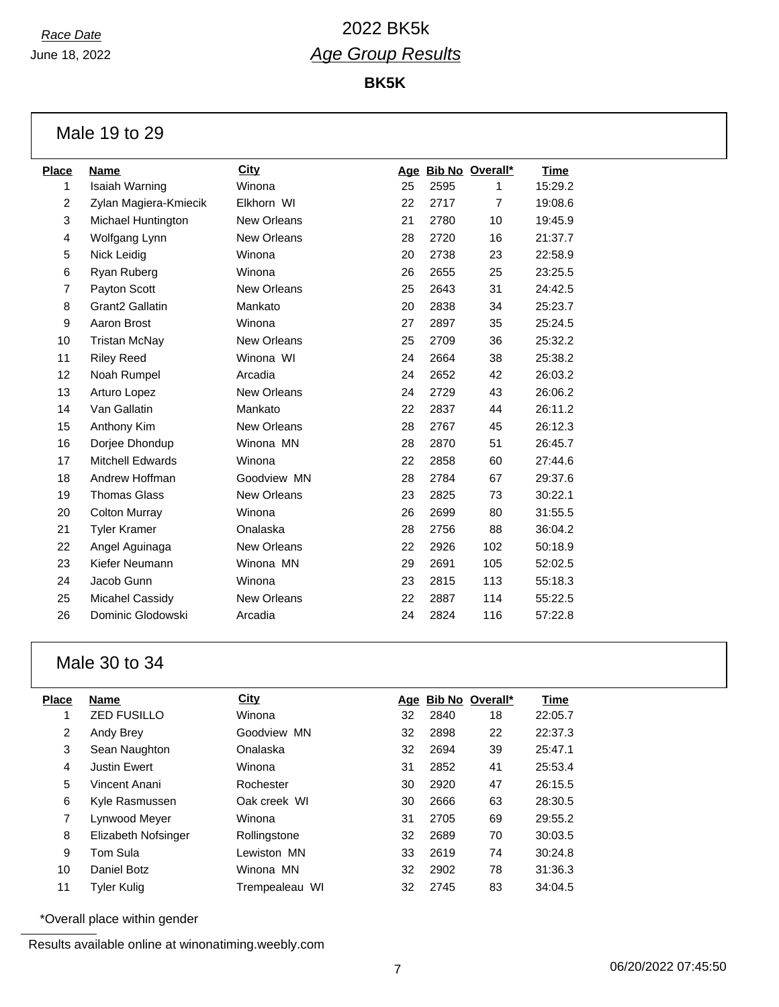**BK5K**

Male 19 to 29

| <b>Place</b>   | <b>Name</b>                 | City        |    |      | Age Bib No Overall* | <b>Time</b> |
|----------------|-----------------------------|-------------|----|------|---------------------|-------------|
| 1              | Isaiah Warning              | Winona      | 25 | 2595 | 1                   | 15:29.2     |
| $\overline{2}$ | Zylan Magiera-Kmiecik       | Elkhorn WI  | 22 | 2717 | $\overline{7}$      | 19:08.6     |
| 3              | Michael Huntington          | New Orleans | 21 | 2780 | 10                  | 19:45.9     |
| 4              | Wolfgang Lynn               | New Orleans | 28 | 2720 | 16                  | 21:37.7     |
| 5              | Nick Leidig                 | Winona      | 20 | 2738 | 23                  | 22:58.9     |
| 6              | Ryan Ruberg                 | Winona      | 26 | 2655 | 25                  | 23:25.5     |
| $\overline{7}$ | Payton Scott                | New Orleans | 25 | 2643 | 31                  | 24:42.5     |
| 8              | Grant <sub>2</sub> Gallatin | Mankato     | 20 | 2838 | 34                  | 25:23.7     |
| 9              | Aaron Brost                 | Winona      | 27 | 2897 | 35                  | 25:24.5     |
| 10             | <b>Tristan McNay</b>        | New Orleans | 25 | 2709 | 36                  | 25:32.2     |
| 11             | <b>Riley Reed</b>           | Winona WI   | 24 | 2664 | 38                  | 25:38.2     |
| 12             | Noah Rumpel                 | Arcadia     | 24 | 2652 | 42                  | 26:03.2     |
| 13             | Arturo Lopez                | New Orleans | 24 | 2729 | 43                  | 26:06.2     |
| 14             | Van Gallatin                | Mankato     | 22 | 2837 | 44                  | 26:11.2     |
| 15             | Anthony Kim                 | New Orleans | 28 | 2767 | 45                  | 26:12.3     |
| 16             | Dorjee Dhondup              | Winona MN   | 28 | 2870 | 51                  | 26:45.7     |
| 17             | <b>Mitchell Edwards</b>     | Winona      | 22 | 2858 | 60                  | 27:44.6     |
| 18             | Andrew Hoffman              | Goodview MN | 28 | 2784 | 67                  | 29:37.6     |
| 19             | <b>Thomas Glass</b>         | New Orleans | 23 | 2825 | 73                  | 30:22.1     |
| 20             | <b>Colton Murray</b>        | Winona      | 26 | 2699 | 80                  | 31:55.5     |
| 21             | <b>Tyler Kramer</b>         | Onalaska    | 28 | 2756 | 88                  | 36:04.2     |
| 22             | Angel Aguinaga              | New Orleans | 22 | 2926 | 102                 | 50:18.9     |
| 23             | Kiefer Neumann              | Winona MN   | 29 | 2691 | 105                 | 52:02.5     |
| 24             | Jacob Gunn                  | Winona      | 23 | 2815 | 113                 | 55:18.3     |
| 25             | <b>Micahel Cassidy</b>      | New Orleans | 22 | 2887 | 114                 | 55:22.5     |
| 26             | Dominic Glodowski           | Arcadia     | 24 | 2824 | 116                 | 57:22.8     |

# Male 30 to 34

| Place          | <b>Name</b>         | <b>City</b>    |    |      | Age Bib No Overall* | Time    |
|----------------|---------------------|----------------|----|------|---------------------|---------|
| 1              | <b>ZED FUSILLO</b>  | Winona         | 32 | 2840 | 18                  | 22:05.7 |
| $\overline{2}$ | Andy Brey           | Goodview MN    | 32 | 2898 | 22                  | 22:37.3 |
| 3              | Sean Naughton       | Onalaska       | 32 | 2694 | 39                  | 25:47.1 |
| 4              | <b>Justin Ewert</b> | Winona         | 31 | 2852 | 41                  | 25:53.4 |
| 5              | Vincent Anani       | Rochester      | 30 | 2920 | 47                  | 26:15.5 |
| 6              | Kyle Rasmussen      | Oak creek WI   | 30 | 2666 | 63                  | 28:30.5 |
| 7              | Lynwood Meyer       | Winona         | 31 | 2705 | 69                  | 29:55.2 |
| 8              | Elizabeth Nofsinger | Rollingstone   | 32 | 2689 | 70                  | 30:03.5 |
| 9              | Tom Sula            | Lewiston MN    | 33 | 2619 | 74                  | 30:24.8 |
| 10             | Daniel Botz         | Winona MN      | 32 | 2902 | 78                  | 31:36.3 |
| 11             | <b>Tyler Kulig</b>  | Trempealeau WI | 32 | 2745 | 83                  | 34:04.5 |

\*Overall place within gender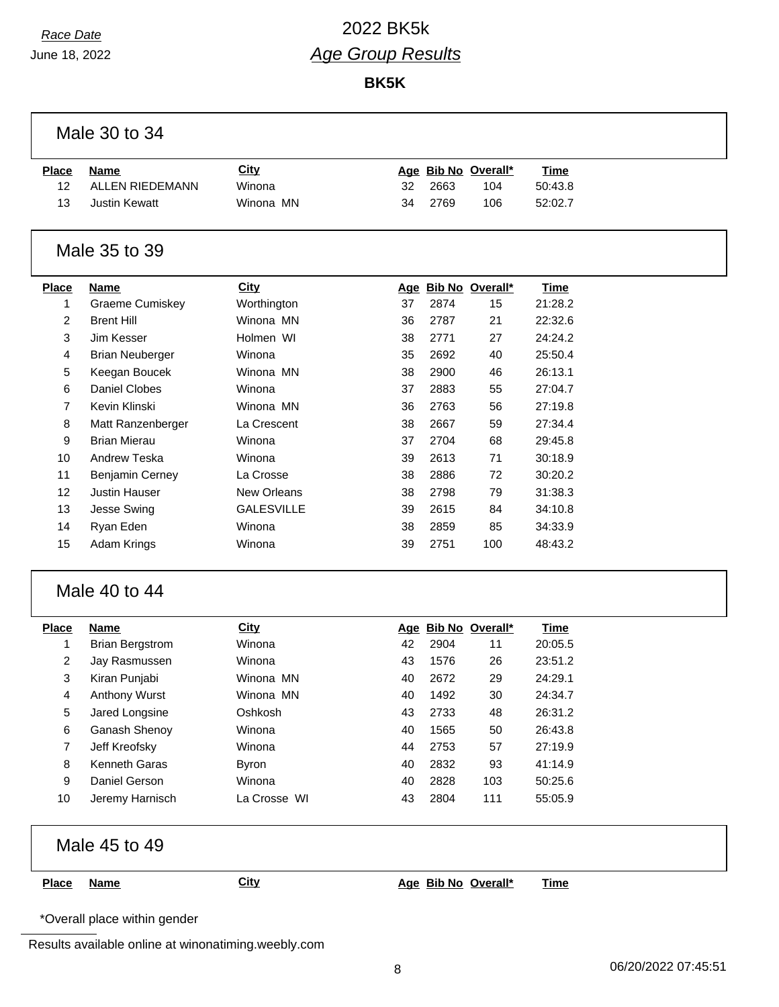## *Race Date* 2022 BK5k *Age Group Results*

**BK5K**

| <b>Place</b><br>12<br>13 | <b>Name</b>            |                   |    |      |                     |             |  |
|--------------------------|------------------------|-------------------|----|------|---------------------|-------------|--|
|                          |                        | <b>City</b>       |    |      | Age Bib No Overall* | <b>Time</b> |  |
|                          | <b>ALLEN RIEDEMANN</b> | Winona            | 32 | 2663 | 104                 | 50:43.8     |  |
|                          | <b>Justin Kewatt</b>   | Winona MN         | 34 | 2769 | 106                 | 52:02.7     |  |
|                          | Male 35 to 39          |                   |    |      |                     |             |  |
| <b>Place</b>             | <b>Name</b>            | <b>City</b>       |    |      | Age Bib No Overall* | <b>Time</b> |  |
| 1                        | Graeme Cumiskey        | Worthington       | 37 | 2874 | 15                  | 21:28.2     |  |
| 2                        | <b>Brent Hill</b>      | Winona MN         | 36 | 2787 | 21                  | 22:32.6     |  |
| 3                        | Jim Kesser             | Holmen WI         | 38 | 2771 | 27                  | 24:24.2     |  |
| 4                        | <b>Brian Neuberger</b> | Winona            | 35 | 2692 | 40                  | 25:50.4     |  |
| 5                        | Keegan Boucek          | Winona MN         | 38 | 2900 | 46                  | 26:13.1     |  |
| 6                        | Daniel Clobes          | Winona            | 37 | 2883 | 55                  | 27:04.7     |  |
| $\overline{7}$           | Kevin Klinski          | Winona MN         | 36 | 2763 | 56                  | 27:19.8     |  |
| 8                        | Matt Ranzenberger      | La Crescent       | 38 | 2667 | 59                  | 27:34.4     |  |
| 9                        | <b>Brian Mierau</b>    | Winona            | 37 | 2704 | 68                  | 29:45.8     |  |
| 10                       | Andrew Teska           | Winona            | 39 | 2613 | 71                  | 30:18.9     |  |
| 11                       | Benjamin Cerney        | La Crosse         | 38 | 2886 | 72                  | 30:20.2     |  |
| 12                       | <b>Justin Hauser</b>   | New Orleans       | 38 | 2798 | 79                  | 31:38.3     |  |
| 13                       | Jesse Swing            | <b>GALESVILLE</b> | 39 | 2615 | 84                  | 34:10.8     |  |
| 14                       | Ryan Eden              | Winona            | 38 | 2859 | 85                  | 34:33.9     |  |
| 15                       | Adam Krings            | Winona            | 39 | 2751 | 100                 | 48:43.2     |  |
|                          | Male 40 to 44          |                   |    |      |                     |             |  |
| <b>Place</b>             | <b>Name</b>            | <b>City</b>       |    |      | Age Bib No Overall* | <b>Time</b> |  |
| 1                        | <b>Brian Bergstrom</b> | Winona            | 42 | 2904 | 11                  | 20:05.5     |  |
| 2                        | Jay Rasmussen          | Winona            | 43 | 1576 | 26                  | 23:51.2     |  |
| 3                        | Kiran Punjabi          | Winona MN         | 40 | 2672 | 29                  | 24:29.1     |  |
| 4                        | Anthony Wurst          | Winona MN         | 40 | 1492 | 30                  | 24:34.7     |  |
| 5                        | Jared Longsine         | Oshkosh           | 43 | 2733 | 48                  | 26:31.2     |  |
| 6                        | Ganash Shenoy          | Winona            | 40 | 1565 | 50                  | 26:43.8     |  |
| 7                        | Jeff Kreofsky          | Winona            | 44 | 2753 | 57                  | 27:19.9     |  |
| 8                        | Kenneth Garas          | <b>Byron</b>      | 40 | 2832 | 93                  | 41:14.9     |  |
| 9                        | Daniel Gerson          | Winona            | 40 | 2828 | 103                 | 50:25.6     |  |
| 10                       | Jeremy Harnisch        | La Crosse WI      | 43 | 2804 | 111                 | 55:05.9     |  |
|                          | Male 45 to 49          |                   |    |      |                     |             |  |
| <b>Place</b>             | <b>Name</b>            | <b>City</b>       |    |      | Age Bib No Overall* | <b>Time</b> |  |

\*Overall place within gender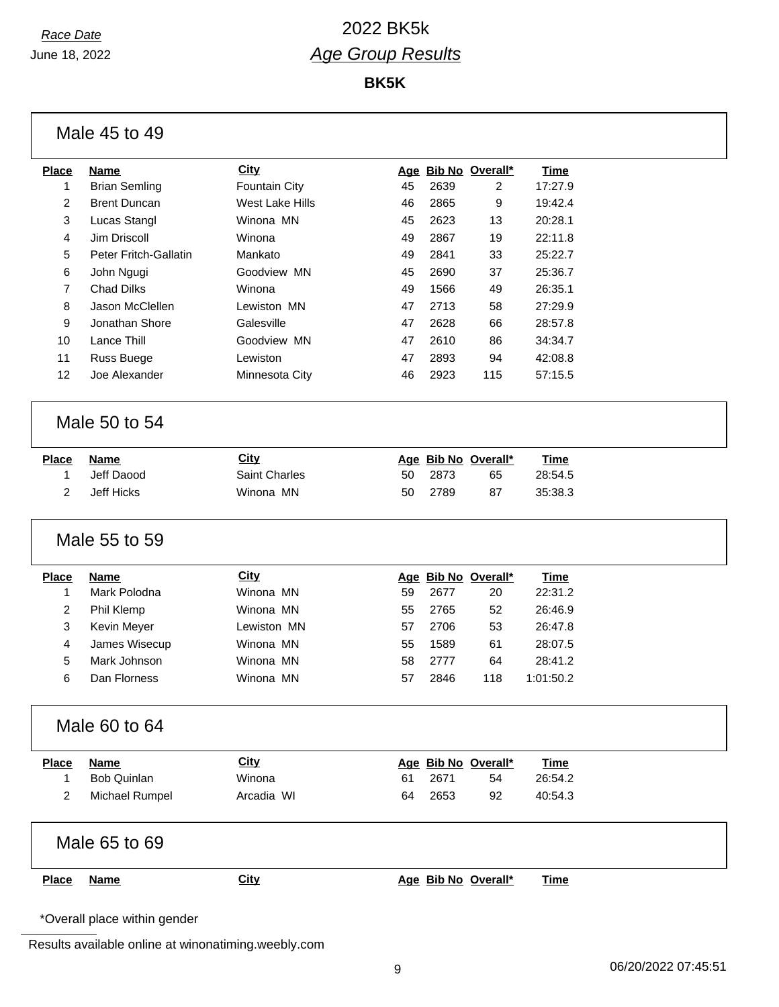**BK5K**

|              | Male 45 to 49                |                 |    |      |                     |             |  |
|--------------|------------------------------|-----------------|----|------|---------------------|-------------|--|
| <b>Place</b> | <b>Name</b>                  | <b>City</b>     |    |      | Age Bib No Overall* | <b>Time</b> |  |
| 1            | <b>Brian Semling</b>         | Fountain City   | 45 | 2639 | 2                   | 17:27.9     |  |
| 2            | <b>Brent Duncan</b>          | West Lake Hills | 46 | 2865 | 9                   | 19:42.4     |  |
| 3            | Lucas Stangl                 | Winona MN       | 45 | 2623 | 13                  | 20:28.1     |  |
| 4            | Jim Driscoll                 | Winona          | 49 | 2867 | 19                  | 22:11.8     |  |
| 5            | Peter Fritch-Gallatin        | Mankato         | 49 | 2841 | 33                  | 25:22.7     |  |
| 6            | John Ngugi                   | Goodview MN     | 45 | 2690 | 37                  | 25:36.7     |  |
| 7            | <b>Chad Dilks</b>            | Winona          | 49 | 1566 | 49                  | 26:35.1     |  |
| 8            | Jason McClellen              | Lewiston MN     | 47 | 2713 | 58                  | 27:29.9     |  |
| 9            | Jonathan Shore               | Galesville      | 47 | 2628 | 66                  | 28:57.8     |  |
| 10           | Lance Thill                  | Goodview MN     | 47 | 2610 | 86                  | 34:34.7     |  |
| 11           | Russ Buege                   | Lewiston        | 47 | 2893 | 94                  | 42:08.8     |  |
| 12           | Joe Alexander                | Minnesota City  | 46 | 2923 | 115                 | 57:15.5     |  |
|              |                              |                 |    |      |                     |             |  |
|              | Male 50 to 54                |                 |    |      |                     |             |  |
| <b>Place</b> | <b>Name</b>                  | <b>City</b>     |    |      | Age Bib No Overall* | <b>Time</b> |  |
| 1            | Jeff Daood                   | Saint Charles   | 50 | 2873 | 65                  | 28:54.5     |  |
| 2            | Jeff Hicks                   | Winona MN       | 50 | 2789 | 87                  | 35:38.3     |  |
|              |                              |                 |    |      |                     |             |  |
|              | Male 55 to 59                |                 |    |      |                     |             |  |
| <b>Place</b> | <b>Name</b>                  | <b>City</b>     |    |      | Age Bib No Overall* | <b>Time</b> |  |
| 1            | Mark Polodna                 | Winona MN       | 59 | 2677 | 20                  | 22:31.2     |  |
| 2            | Phil Klemp                   | Winona MN       | 55 | 2765 | 52                  | 26:46.9     |  |
| 3            | Kevin Meyer                  | Lewiston MN     | 57 | 2706 | 53                  | 26:47.8     |  |
| 4            | James Wisecup                | Winona MN       | 55 | 1589 | 61                  | 28:07.5     |  |
| 5            | Mark Johnson                 | Winona MN       | 58 | 2777 | 64                  | 28:41.2     |  |
| 6            | Dan Florness                 | Winona MN       | 57 | 2846 | 118                 | 1:01:50.2   |  |
|              |                              |                 |    |      |                     |             |  |
|              | Male 60 to 64                |                 |    |      |                     |             |  |
| <b>Place</b> | <b>Name</b>                  | City            |    |      | Age Bib No Overall* | <b>Time</b> |  |
| $\mathbf{1}$ | <b>Bob Quinlan</b>           | Winona          | 61 | 2671 | 54                  | 26:54.2     |  |
| 2            | Michael Rumpel               | Arcadia WI      | 64 | 2653 | 92                  | 40:54.3     |  |
|              |                              |                 |    |      |                     |             |  |
|              | Male 65 to 69                |                 |    |      |                     |             |  |
| <b>Place</b> | <b>Name</b>                  | <b>City</b>     |    |      | Age Bib No Overall* | <b>Time</b> |  |
|              |                              |                 |    |      |                     |             |  |
|              | *Overall place within gender |                 |    |      |                     |             |  |